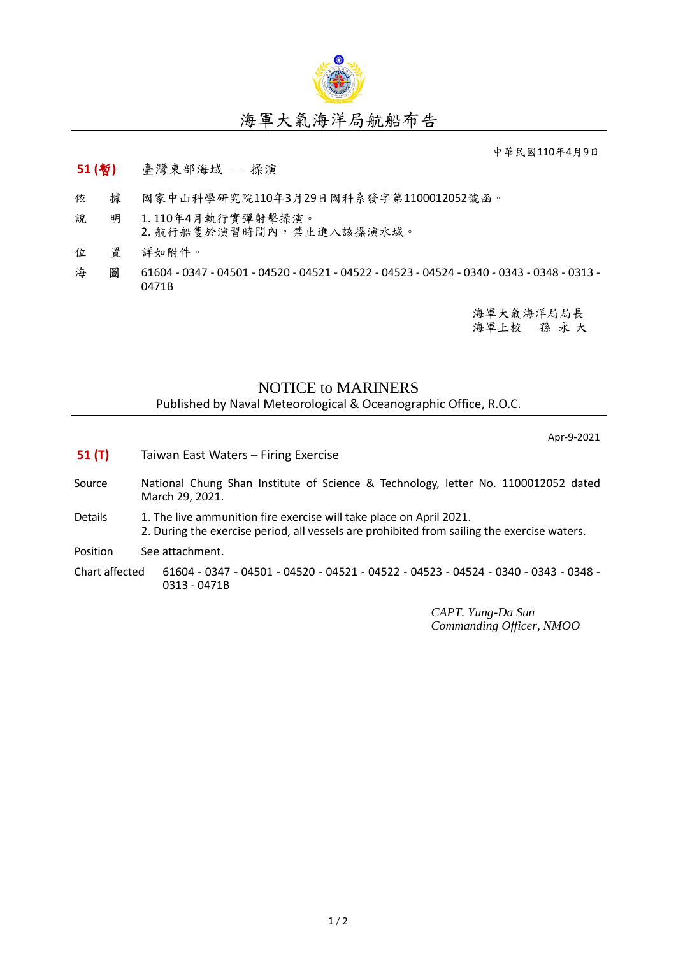

## 海軍大氣海洋局航船布告

中華民國110年4月9日

## **51 (**暫**)** 臺灣東部海域 - 操演

- 依 據 國家中山科學研究院110年3月29日國科系發字第1100012052號函。
- 說 明 1. 110年4月執行實彈射擊操演。 2. 航行船隻於演習時間內,禁止進入該操演水域。
- 位 置 詳如附件。
- 海 圖 61604 0347 04501 04520 04521 04522 04523 04524 0340 0343 0348 0313 -0471B

海軍大氣海洋局局長 海軍上校 孫 永 大

## NOTICE to MARINERS

Published by Naval Meteorological & Oceanographic Office, R.O.C.

Apr-9-2021

- **51 (T)** Taiwan East Waters Firing Exercise
- Source National Chung Shan Institute of Science & Technology, letter No. 1100012052 dated March 29, 2021.
- Details 1. The live ammunition fire exercise will take place on April 2021. 2. During the exercise period, all vessels are prohibited from sailing the exercise waters.

Position See attachment.

Chart affected 61604 - 0347 - 04501 - 04520 - 04521 - 04522 - 04523 - 04524 - 0340 - 0343 - 0348 - 0313 - 0471B

> *CAPT. Yung-Da Sun Commanding Officer, NMOO*